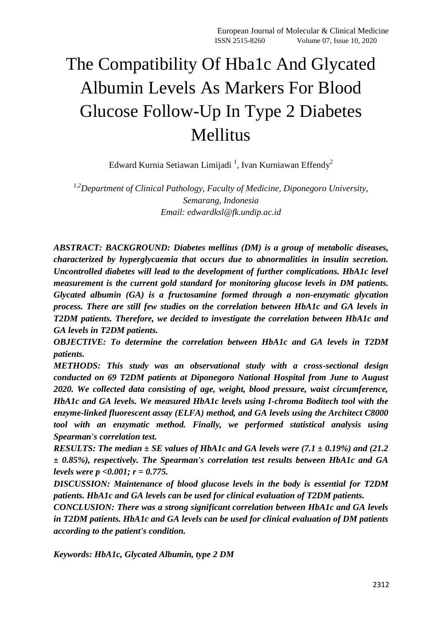# The Compatibility Of Hba1c And Glycated Albumin Levels As Markers For Blood Glucose Follow-Up In Type 2 Diabetes Mellitus

Edward Kurnia Setiawan Limijadi <sup>1</sup>, Ivan Kurniawan Effendy<sup>2</sup>

*1,2Department of Clinical Pathology, Faculty of Medicine, Diponegoro University, Semarang, Indonesia Email: [edwardksl@fk.undip.ac.id](mailto:edwardksl@fk.undip.ac.id)*

*ABSTRACT: BACKGROUND: Diabetes mellitus (DM) is a group of metabolic diseases, characterized by hyperglycaemia that occurs due to abnormalities in insulin secretion. Uncontrolled diabetes will lead to the development of further complications. HbA1c level measurement is the current gold standard for monitoring glucose levels in DM patients. Glycated albumin (GA) is a fructosamine formed through a non-enzymatic glycation process. There are still few studies on the correlation between HbA1c and GA levels in T2DM patients. Therefore, we decided to investigate the correlation between HbA1c and GA levels in T2DM patients.*

*OBJECTIVE: To determine the correlation between HbA1c and GA levels in T2DM patients.*

*METHODS: This study was an observational study with a cross-sectional design conducted on 69 T2DM patients at Diponegoro National Hospital from June to August 2020. We collected data consisting of age, weight, blood pressure, waist circumference, HbA1c and GA levels. We measured HbA1c levels using I-chroma Boditech tool with the enzyme-linked fluorescent assay (ELFA) method, and GA levels using the Architect C8000 tool with an enzymatic method. Finally, we performed statistical analysis using Spearman's correlation test.*

*RESULTS: The median ± SE values of HbA1c and GA levels were (7.1 ± 0.19%) and (21.2 ± 0.85%), respectively. The Spearman's correlation test results between HbA1c and GA levels were p <0.001; r = 0.775.*

*DISCUSSION: Maintenance of blood glucose levels in the body is essential for T2DM patients. HbA1c and GA levels can be used for clinical evaluation of T2DM patients.*

*CONCLUSION: There was a strong significant correlation between HbA1c and GA levels in T2DM patients. HbA1c and GA levels can be used for clinical evaluation of DM patients according to the patient's condition.*

*Keywords: HbA1c, Glycated Albumin, type 2 DM*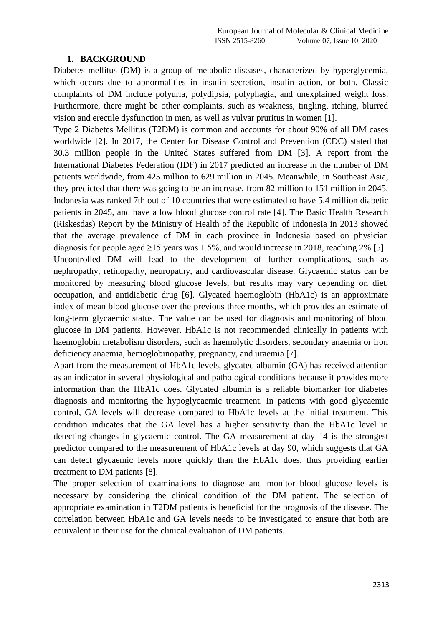#### **1. BACKGROUND**

Diabetes mellitus (DM) is a group of metabolic diseases, characterized by hyperglycemia, which occurs due to abnormalities in insulin secretion, insulin action, or both. Classic complaints of DM include polyuria, polydipsia, polyphagia, and unexplained weight loss. Furthermore, there might be other complaints, such as weakness, tingling, itching, blurred vision and erectile dysfunction in men, as well as vulvar pruritus in women [1].

Type 2 Diabetes Mellitus (T2DM) is common and accounts for about 90% of all DM cases worldwide [2]. In 2017, the Center for Disease Control and Prevention (CDC) stated that 30.3 million people in the United States suffered from DM [3]. A report from the International Diabetes Federation (IDF) in 2017 predicted an increase in the number of DM patients worldwide, from 425 million to 629 million in 2045. Meanwhile, in Southeast Asia, they predicted that there was going to be an increase, from 82 million to 151 million in 2045. Indonesia was ranked 7th out of 10 countries that were estimated to have 5.4 million diabetic patients in 2045, and have a low blood glucose control rate [4]. The Basic Health Research (Riskesdas) Report by the Ministry of Health of the Republic of Indonesia in 2013 showed that the average prevalence of DM in each province in Indonesia based on physician diagnosis for people aged  $\geq$ 15 years was 1.5%, and would increase in 2018, reaching 2% [5]. Uncontrolled DM will lead to the development of further complications, such as nephropathy, retinopathy, neuropathy, and cardiovascular disease. Glycaemic status can be monitored by measuring blood glucose levels, but results may vary depending on diet, occupation, and antidiabetic drug [6]. Glycated haemoglobin (HbA1c) is an approximate index of mean blood glucose over the previous three months, which provides an estimate of long-term glycaemic status. The value can be used for diagnosis and monitoring of blood glucose in DM patients. However, HbA1c is not recommended clinically in patients with haemoglobin metabolism disorders, such as haemolytic disorders, secondary anaemia or iron deficiency anaemia, hemoglobinopathy, pregnancy, and uraemia [7].

Apart from the measurement of HbA1c levels, glycated albumin (GA) has received attention as an indicator in several physiological and pathological conditions because it provides more information than the HbA1c does. Glycated albumin is a reliable biomarker for diabetes diagnosis and monitoring the hypoglycaemic treatment. In patients with good glycaemic control, GA levels will decrease compared to HbA1c levels at the initial treatment. This condition indicates that the GA level has a higher sensitivity than the HbA1c level in detecting changes in glycaemic control. The GA measurement at day 14 is the strongest predictor compared to the measurement of HbA1c levels at day 90, which suggests that GA can detect glycaemic levels more quickly than the HbA1c does, thus providing earlier treatment to DM patients [8].

The proper selection of examinations to diagnose and monitor blood glucose levels is necessary by considering the clinical condition of the DM patient. The selection of appropriate examination in T2DM patients is beneficial for the prognosis of the disease. The correlation between HbA1c and GA levels needs to be investigated to ensure that both are equivalent in their use for the clinical evaluation of DM patients.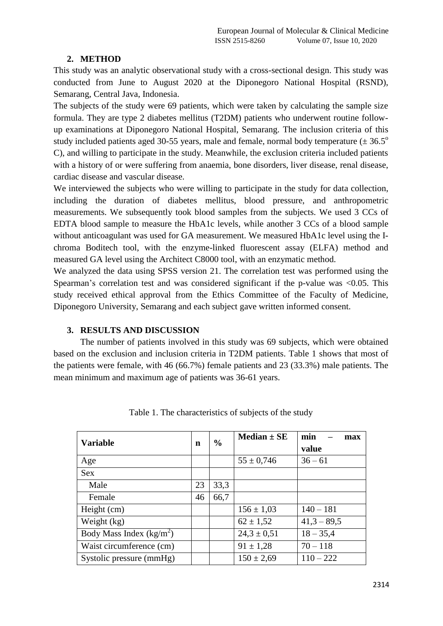## **2. METHOD**

This study was an analytic observational study with a cross-sectional design. This study was conducted from June to August 2020 at the Diponegoro National Hospital (RSND), Semarang, Central Java, Indonesia.

The subjects of the study were 69 patients, which were taken by calculating the sample size formula. They are type 2 diabetes mellitus (T2DM) patients who underwent routine followup examinations at Diponegoro National Hospital, Semarang. The inclusion criteria of this study included patients aged 30-55 years, male and female, normal body temperature ( $\pm$  36.5<sup>o</sup> C), and willing to participate in the study. Meanwhile, the exclusion criteria included patients with a history of or were suffering from anaemia, bone disorders, liver disease, renal disease, cardiac disease and vascular disease.

We interviewed the subjects who were willing to participate in the study for data collection, including the duration of diabetes mellitus, blood pressure, and anthropometric measurements. We subsequently took blood samples from the subjects. We used 3 CCs of EDTA blood sample to measure the HbA1c levels, while another 3 CCs of a blood sample without anticoagulant was used for GA measurement. We measured HbA1c level using the Ichroma Boditech tool, with the enzyme-linked fluorescent assay (ELFA) method and measured GA level using the Architect C8000 tool, with an enzymatic method.

We analyzed the data using SPSS version 21. The correlation test was performed using the Spearman's correlation test and was considered significant if the p-value was  $\langle 0.05, \text{ This} \rangle$ study received ethical approval from the Ethics Committee of the Faculty of Medicine, Diponegoro University, Semarang and each subject gave written informed consent.

## **3. RESULTS AND DISCUSSION**

The number of patients involved in this study was 69 subjects, which were obtained based on the exclusion and inclusion criteria in T2DM patients. Table 1 shows that most of the patients were female, with 46 (66.7%) female patients and 23 (33.3%) male patients. The mean minimum and maximum age of patients was 36-61 years.

| <b>Variable</b>            | n  | $\frac{0}{0}$ | Median $\pm$ SE | min<br>max<br>value |
|----------------------------|----|---------------|-----------------|---------------------|
| Age                        |    |               | $55 \pm 0,746$  | $36 - 61$           |
| <b>Sex</b>                 |    |               |                 |                     |
| Male                       | 23 | 33,3          |                 |                     |
| Female                     | 46 | 66,7          |                 |                     |
| Height (cm)                |    |               | $156 \pm 1,03$  | $140 - 181$         |
| Weight (kg)                |    |               | $62 \pm 1,52$   | $41,3 - 89,5$       |
| Body Mass Index $(kg/m^2)$ |    |               | $24,3 \pm 0,51$ | $18 - 35,4$         |
| Waist circumference (cm)   |    |               | $91 \pm 1,28$   | $70 - 118$          |
| Systolic pressure (mmHg)   |    |               | $150 \pm 2,69$  | $110 - 222$         |

Table 1. The characteristics of subjects of the study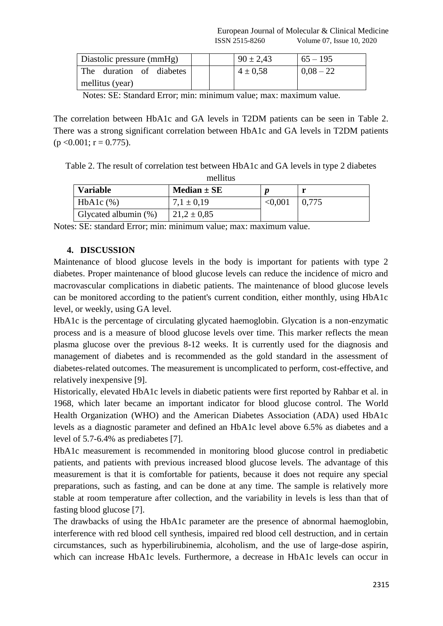| Diastolic pressure (mmHg) | $90 \pm 2,43$ | $65 - 195$  |
|---------------------------|---------------|-------------|
| The duration of diabetes  | $4 \pm 0.58$  | $0.08 - 22$ |
| mellitus (year)           |               |             |

Notes: SE: Standard Error; min: minimum value; max: maximum value.

The correlation between HbA1c and GA levels in T2DM patients can be seen in Table 2. There was a strong significant correlation between HbA1c and GA levels in T2DM patients  $(p \le 0.001; r = 0.775)$ .

Table 2. The result of correlation test between HbA1c and GA levels in type 2 diabetes mellitus

| <b>Variable</b>      | Median $\pm$ SE |         |       |  |  |  |
|----------------------|-----------------|---------|-------|--|--|--|
| $HbA1c$ (%)          | $7.1 \pm 0.19$  | < 0.001 | 0,775 |  |  |  |
| Glycated albumin (%) | $21.2 \pm 0.85$ |         |       |  |  |  |

Notes: SE: standard Error; min: minimum value; max: maximum value.

## **4. DISCUSSION**

Maintenance of blood glucose levels in the body is important for patients with type 2 diabetes. Proper maintenance of blood glucose levels can reduce the incidence of micro and macrovascular complications in diabetic patients. The maintenance of blood glucose levels can be monitored according to the patient's current condition, either monthly, using HbA1c level, or weekly, using GA level.

HbA1c is the percentage of circulating glycated haemoglobin. Glycation is a non-enzymatic process and is a measure of blood glucose levels over time. This marker reflects the mean plasma glucose over the previous 8-12 weeks. It is currently used for the diagnosis and management of diabetes and is recommended as the gold standard in the assessment of diabetes-related outcomes. The measurement is uncomplicated to perform, cost-effective, and relatively inexpensive [9].

Historically, elevated HbA1c levels in diabetic patients were first reported by Rahbar et al. in 1968, which later became an important indicator for blood glucose control. The World Health Organization (WHO) and the American Diabetes Association (ADA) used HbA1c levels as a diagnostic parameter and defined an HbA1c level above 6.5% as diabetes and a level of 5.7-6.4% as prediabetes [7].

HbA1c measurement is recommended in monitoring blood glucose control in prediabetic patients, and patients with previous increased blood glucose levels. The advantage of this measurement is that it is comfortable for patients, because it does not require any special preparations, such as fasting, and can be done at any time. The sample is relatively more stable at room temperature after collection, and the variability in levels is less than that of fasting blood glucose [7].

The drawbacks of using the HbA1c parameter are the presence of abnormal haemoglobin, interference with red blood cell synthesis, impaired red blood cell destruction, and in certain circumstances, such as hyperbilirubinemia, alcoholism, and the use of large-dose aspirin, which can increase HbA1c levels. Furthermore, a decrease in HbA1c levels can occur in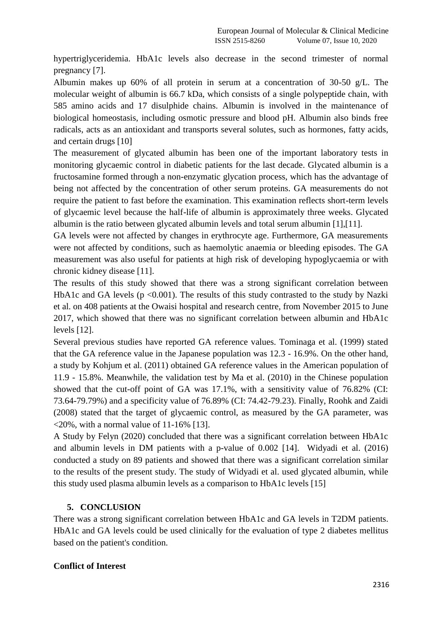hypertriglyceridemia. HbA1c levels also decrease in the second trimester of normal pregnancy [7].

Albumin makes up 60% of all protein in serum at a concentration of 30-50 g/L. The molecular weight of albumin is 66.7 kDa, which consists of a single polypeptide chain, with 585 amino acids and 17 disulphide chains. Albumin is involved in the maintenance of biological homeostasis, including osmotic pressure and blood pH. Albumin also binds free radicals, acts as an antioxidant and transports several solutes, such as hormones, fatty acids, and certain drugs [10]

The measurement of glycated albumin has been one of the important laboratory tests in monitoring glycaemic control in diabetic patients for the last decade. Glycated albumin is a fructosamine formed through a non-enzymatic glycation process, which has the advantage of being not affected by the concentration of other serum proteins. GA measurements do not require the patient to fast before the examination. This examination reflects short-term levels of glycaemic level because the half-life of albumin is approximately three weeks. Glycated albumin is the ratio between glycated albumin levels and total serum albumin [1],[11].

GA levels were not affected by changes in erythrocyte age. Furthermore, GA measurements were not affected by conditions, such as haemolytic anaemia or bleeding episodes. The GA measurement was also useful for patients at high risk of developing hypoglycaemia or with chronic kidney disease [11].

The results of this study showed that there was a strong significant correlation between HbA1c and GA levels ( $p \le 0.001$ ). The results of this study contrasted to the study by Nazki et al. on 408 patients at the Owaisi hospital and research centre, from November 2015 to June 2017, which showed that there was no significant correlation between albumin and HbA1c levels [12].

Several previous studies have reported GA reference values. Tominaga et al. (1999) stated that the GA reference value in the Japanese population was 12.3 - 16.9%. On the other hand, a study by Kohjum et al. (2011) obtained GA reference values in the American population of 11.9 - 15.8%. Meanwhile, the validation test by Ma et al. (2010) in the Chinese population showed that the cut-off point of GA was 17.1%, with a sensitivity value of 76.82% (CI: 73.64-79.79%) and a specificity value of 76.89% (CI: 74.42-79.23). Finally, Roohk and Zaidi (2008) stated that the target of glycaemic control, as measured by the GA parameter, was  $\langle 20\%$ , with a normal value of 11-16% [13].

A Study by Felyn (2020) concluded that there was a significant correlation between HbA1c and albumin levels in DM patients with a p-value of 0.002 [14]. Widyadi et al. (2016) conducted a study on 89 patients and showed that there was a significant correlation similar to the results of the present study. The study of Widyadi et al. used glycated albumin, while this study used plasma albumin levels as a comparison to HbA1c levels [15]

## **5. CONCLUSION**

There was a strong significant correlation between HbA1c and GA levels in T2DM patients. HbA1c and GA levels could be used clinically for the evaluation of type 2 diabetes mellitus based on the patient's condition.

### **Conflict of Interest**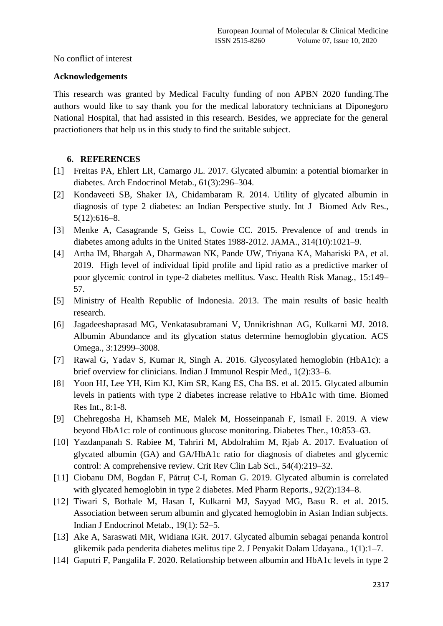No conflict of interest

## **Acknowledgements**

This research was granted by Medical Faculty funding of non APBN 2020 funding.The authors would like to say thank you for the medical laboratory technicians at Diponegoro National Hospital, that had assisted in this research. Besides, we appreciate for the general practiotioners that help us in this study to find the suitable subject.

# **6. REFERENCES**

- [1] Freitas PA, Ehlert LR, Camargo JL. 2017. Glycated albumin: a potential biomarker in diabetes. Arch Endocrinol Metab., 61(3):296–304.
- [2] Kondaveeti SB, Shaker IA, Chidambaram R. 2014. Utility of glycated albumin in diagnosis of type 2 diabetes: an Indian Perspective study. Int J Biomed Adv Res., 5(12):616–8.
- [3] Menke A, Casagrande S, Geiss L, Cowie CC. 2015. Prevalence of and trends in diabetes among adults in the United States 1988-2012. JAMA., 314(10):1021–9.
- [4] Artha IM, Bhargah A, Dharmawan NK, Pande UW, Triyana KA, Mahariski PA, et al. 2019. High level of individual lipid profile and lipid ratio as a predictive marker of poor glycemic control in type-2 diabetes mellitus. Vasc. Health Risk Manag., 15:149– 57.
- [5] Ministry of Health Republic of Indonesia. 2013. The main results of basic health research.
- [6] Jagadeeshaprasad MG, Venkatasubramani V, Unnikrishnan AG, Kulkarni MJ. 2018. Albumin Abundance and its glycation status determine hemoglobin glycation. ACS Omega., 3:12999–3008.
- [7] Rawal G, Yadav S, Kumar R, Singh A. 2016. Glycosylated hemoglobin (HbA1c): a brief overview for clinicians. Indian J Immunol Respir Med., 1(2):33–6.
- [8] Yoon HJ, Lee YH, Kim KJ, Kim SR, Kang ES, Cha BS. et al. 2015. Glycated albumin levels in patients with type 2 diabetes increase relative to HbA1c with time. Biomed Res Int., 8:1-8.
- [9] Chehregosha H, Khamseh ME, Malek M, Hosseinpanah F, Ismail F. 2019. A view beyond HbA1c: role of continuous glucose monitoring. Diabetes Ther., 10:853–63.
- [10] Yazdanpanah S. Rabiee M, Tahriri M, Abdolrahim M, Rjab A. 2017. Evaluation of glycated albumin (GA) and GA/HbA1c ratio for diagnosis of diabetes and glycemic control: A comprehensive review. Crit Rev Clin Lab Sci., 54(4):219–32.
- [11] Ciobanu DM, Bogdan F, Pătruț C-I, Roman G. 2019. Glycated albumin is correlated with glycated hemoglobin in type 2 diabetes. Med Pharm Reports., 92(2):134–8.
- [12] Tiwari S, Bothale M, Hasan I, Kulkarni MJ, Sayyad MG, Basu R. et al. 2015. Association between serum albumin and glycated hemoglobin in Asian Indian subjects. Indian J Endocrinol Metab., 19(1): 52–5.
- [13] Ake A, Saraswati MR, Widiana IGR. 2017. Glycated albumin sebagai penanda kontrol glikemik pada penderita diabetes melitus tipe 2. J Penyakit Dalam Udayana., 1(1):1–7.
- [14] Gaputri F, Pangalila F. 2020. Relationship between albumin and HbA1c levels in type 2